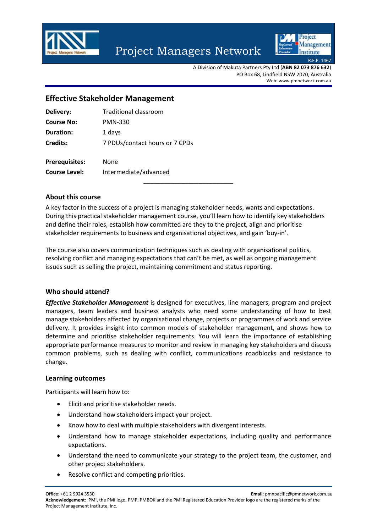

# Project Managers Network



A Division of Makuta Partners Pty Ltd (**ABN 82 073 876 632**) PO Box 68, Lindfield NSW 2070, Australia Web: www.pmnetwork.com.au

## **Effective Stakeholder Management**

| Delivery:             | Traditional classroom          |
|-----------------------|--------------------------------|
| <b>Course No:</b>     | <b>PMN-330</b>                 |
| <b>Duration:</b>      | 1 days                         |
| <b>Credits:</b>       | 7 PDUs/contact hours or 7 CPDs |
|                       |                                |
| <b>Prerequisites:</b> | None                           |

**Course Level:** Intermediate/advanced \_\_\_\_\_\_\_\_\_\_\_\_\_\_\_\_\_\_\_\_\_\_\_\_\_\_

## **About this course**

A key factor in the success of a project is managing stakeholder needs, wants and expectations. During this practical stakeholder management course, you'll learn how to identify key stakeholders and define their roles, establish how committed are they to the project, align and prioritise stakeholder requirements to business and organisational objectives, and gain 'buy-in'.

The course also covers communication techniques such as dealing with organisational politics, resolving conflict and managing expectations that can't be met, as well as ongoing management issues such as selling the project, maintaining commitment and status reporting.

## **Who should attend?**

*Effective Stakeholder Management* is designed for executives, line managers, program and project managers, team leaders and business analysts who need some understanding of how to best manage stakeholders affected by organisational change, projects or programmes of work and service delivery. It provides insight into common models of stakeholder management, and shows how to determine and prioritise stakeholder requirements. You will learn the importance of establishing appropriate performance measures to monitor and review in managing key stakeholders and discuss common problems, such as dealing with conflict, communications roadblocks and resistance to change.

#### **Learning outcomes**

Participants will learn how to:

- Elicit and prioritise stakeholder needs.
- Understand how stakeholders impact your project.
- Know how to deal with multiple stakeholders with divergent interests.
- Understand how to manage stakeholder expectations, including quality and performance expectations.
- Understand the need to communicate your strategy to the project team, the customer, and other project stakeholders.
- Resolve conflict and competing priorities.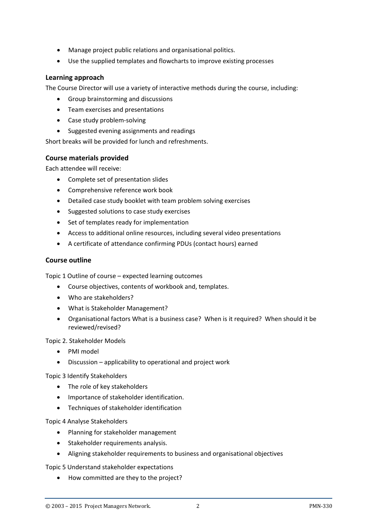- Manage project public relations and organisational politics.
- Use the supplied templates and flowcharts to improve existing processes

## **Learning approach**

The Course Director will use a variety of interactive methods during the course, including:

- Group brainstorming and discussions
- Team exercises and presentations
- Case study problem-solving
- Suggested evening assignments and readings

Short breaks will be provided for lunch and refreshments.

## **Course materials provided**

Each attendee will receive:

- Complete set of presentation slides
- Comprehensive reference work book
- Detailed case study booklet with team problem solving exercises
- Suggested solutions to case study exercises
- Set of templates ready for implementation
- Access to additional online resources, including several video presentations
- A certificate of attendance confirming PDUs (contact hours) earned

## **Course outline**

Topic 1 Outline of course – expected learning outcomes

- Course objectives, contents of workbook and, templates.
- Who are stakeholders?
- What is Stakeholder Management?
- Organisational factors What is a business case? When is it required? When should it be reviewed/revised?

Topic 2. Stakeholder Models

- PMI model
- Discussion applicability to operational and project work

Topic 3 Identify Stakeholders

- The role of key stakeholders
- Importance of stakeholder identification.
- Techniques of stakeholder identification

Topic 4 Analyse Stakeholders

- Planning for stakeholder management
- Stakeholder requirements analysis.
- Aligning stakeholder requirements to business and organisational objectives

Topic 5 Understand stakeholder expectations

• How committed are they to the project?